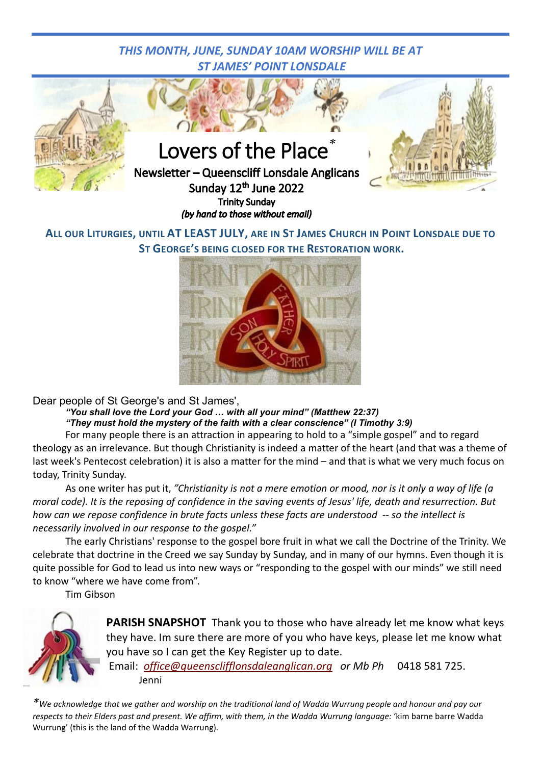## *THIS MONTH, JUNE, SUNDAY 10AM WORSHIP WILL BE AT ST JAMES' POINT LONSDALE*



## **ALL OUR LITURGIES, UNTIL AT LEAST JULY, ARE IN ST JAMES CHURCH IN POINT LONSDALE DUE TO ST GEORGE'S BEING CLOSED FOR THE RESTORATION WORK.**



Dear people of St George's and St James',

*"You shall love the Lord your God … with all your mind" (Matthew 22:37) "They must hold the mystery of the faith with a clear conscience" (I Timothy 3:9)*

For many people there is an attraction in appearing to hold to a "simple gospel" and to regard theology as an irrelevance. But though Christianity is indeed a matter of the heart (and that was a theme of last week's Pentecost celebration) it is also a matter for the mind – and that is what we very much focus on today, Trinity Sunday.

As one writer has put it, *"Christianity is not a mere emotion or mood, nor is it only a way of life (a moral code). It is the reposing of confidence in the saving events of Jesus' life, death and resurrection. But how can we repose confidence in brute facts unless these facts are understood -- so the intellect is necessarily involved in our response to the gospel."*

The early Christians' response to the gospel bore fruit in what we call the Doctrine of the Trinity. We celebrate that doctrine in the Creed we say Sunday by Sunday, and in many of our hymns. Even though it is quite possible for God to lead us into new ways or "responding to the gospel with our minds" we still need to know "where we have come from".

Tim Gibson



**PARISH SNAPSHOT** Thank you to those who have already let me know what keys they have. Im sure there are more of you who have keys, please let me know what you have so I can get the Key Register up to date.

Email: *[office@queensclifflonsdaleanglican.org](mailto:office@queensclifflonsdaleanglican.org) or Mb Ph* 0418 581 725. Jenni

*\*We acknowledge that we gather and worship on the traditional land of Wadda Wurrung people and honour and pay our*  respects to their Elders past and present. We affirm, with them, in the Wadda Wurrung language: 'kim barne barre Wadda Wurrung' (this is the land of the Wadda Warrung).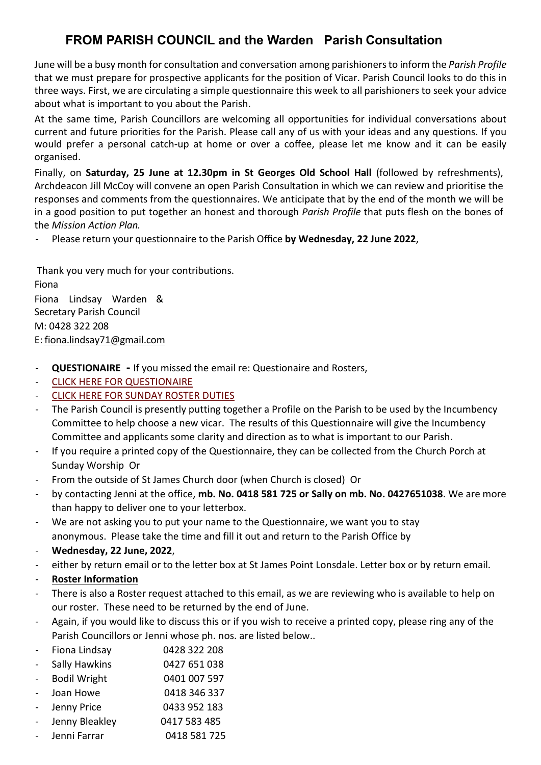# **FROM PARISH COUNCIL and the Warden Parish Consultation**

June will be a busy month for consultation and conversation among parishioners to inform the *Parish Profile*  that we must prepare for prospective applicants for the position of Vicar. Parish Council looks to do this in three ways. First, we are circulating a simple questionnaire this week to all parishioners to seek your advice about what is important to you about the Parish.

At the same time, Parish Councillors are welcoming all opportunities for individual conversations about current and future priorities for the Parish. Please call any of us with your ideas and any questions. If you would prefer a personal catch-up at home or over a coffee, please let me know and it can be easily organised.

Finally, on **Saturday, 25 June at 12.30pm in St Georges Old School Hall** (followed by refreshments), Archdeacon Jill McCoy will convene an open Parish Consultation in which we can review and prioritise the responses and comments from the questionnaires. We anticipate that by the end of the month we will be in a good position to put together an honest and thorough *Parish Profile* that puts flesh on the bones of the *Mission Action Plan.*

- Please return your questionnaire to the Parish Office **by Wednesday, 22 June 2022**,

Thank you very much for your contributions. Fiona Fiona Lindsay Warden & Secretary Parish Council M: 0428 322 208 E: [fi](mailto:fiona.lindsay71@gmail.com)[ona.lindsay71@gmail.com](mailto:ona.lindsay71@gmail.com)

- **QUESTIONAIRE -** If you missed the email re: Questionaire and Rosters,
- [CLICK HERE FOR QUESTIONAIRE](https://www.queensclifflonsdaleanglican.org/wp/wp-content/uploads/2022/06/QUESTIONNAIRE-002.pdf)
- [CLICK HERE FOR SUNDAY ROSTER DUTIES](https://www.queensclifflonsdaleanglican.org/wp/wp-content/uploads/2022/06/Sunday-Liturgy-Roster-Information.pdf)
- The Parish Council is presently putting together a Profile on the Parish to be used by the Incumbency Committee to help choose a new vicar. The results of this Questionnaire will give the Incumbency Committee and applicants some clarity and direction as to what is important to our Parish.
- If you require a printed copy of the Questionnaire, they can be collected from the Church Porch at Sunday Worship Or
- From the outside of St James Church door (when Church is closed) Or
- by contacting Jenni at the office, **mb. No. 0418 581 725 or Sally on mb. No. 0427651038**. We are more than happy to deliver one to your letterbox.
- We are not asking you to put your name to the Questionnaire, we want you to stay anonymous. Please take the time and fill it out and return to the Parish Office by
- **Wednesday, 22 June, 2022**,
- either by return email or to the letter box at St James Point Lonsdale. Letter box or by return email.
- **Roster Information**
- There is also a Roster request attached to this email, as we are reviewing who is available to help on our roster. These need to be returned by the end of June.
- Again, if you would like to discuss this or if you wish to receive a printed copy, please ring any of the Parish Councillors or Jenni whose ph. nos. are listed below..
- Fiona Lindsay 0428 322 208
- Sally Hawkins 0427 651 038
- Bodil Wright 0401 007 597
- Joan Howe 0418 346 337
- Jenny Price 0433 952 183
- Jenny Bleakley **0417 583 485**
- Jenni Farrar 0418 581 725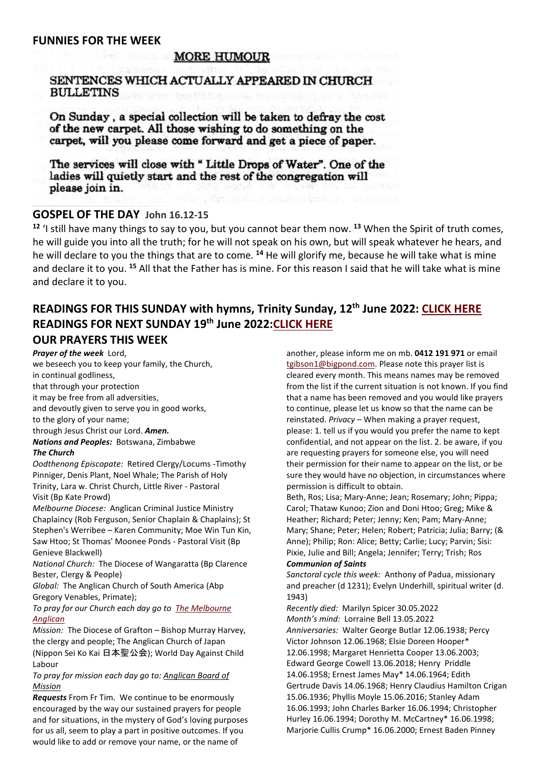#### **FUNNIES FOR THE WEEK**

## **MORE HUMOUR**

## SENTENCES WHICH ACTUALLY APPEARED IN CHURCH **BULLETINS**

On Sunday, a special collection will be taken to defray the cost of the new carpet. All those wishing to do something on the carpet, will you please come forward and get a piece of paper.

The services will close with "Little Drops of Water". One of the ladies will quietly start and the rest of the congregation will please join in.

## **GOSPEL OF THE DAY John 16.12-15**

**<sup>12</sup>** 'I still have many things to say to you, but you cannot bear them now. **<sup>13</sup>** When the Spirit of truth comes, he will guide you into all the truth; for he will not speak on his own, but will speak whatever he hears, and he will declare to you the things that are to come. **<sup>14</sup>** He will glorify me, because he will take what is mine and declare it to you. **<sup>15</sup>** All that the Father has is mine. For this reason I said that he will take what is mine and declare it to you.

## **READINGS FOR THIS SUNDAY with hymns, Trinity Sunday, 12th June 2022: [CLICK HERE](https://www.queensclifflonsdaleanglican.org/wp/wp-content/uploads/2022/06/Sunday-12TH-June-2022-Trinity-Sunday.docx-Web-and-readers-2.pdf) READINGS FOR NEXT SUNDAY 19th June 2022[:CLICK HERE](https://www.queensclifflonsdaleanglican.org/wp/wp-content/uploads/2022/06/Sunday-19th-June-2022-Ord-12.pdf) OUR PRAYERS THIS WEEK**

#### *Prayer of the week* Lord,

we beseech you to keep your family, the Church, in continual godliness, that through your protection it may be free from all adversities, and devoutly given to serve you in good works, to the glory of your name; through Jesus Christ our Lord. *Amen. Nations and Peoples:* Botswana, Zimbabwe *The Church Oodthenong Episcopate:* Retired Clergy/Locums -Timothy

Pinniger, Denis Plant, Noel Whale; The Parish of Holy Trinity, Lara w. Christ Church, Little River - Pastoral Visit (Bp Kate Prowd)

*Melbourne Diocese:* Anglican Criminal Justice Ministry Chaplaincy (Rob Ferguson, Senior Chaplain & Chaplains); St Stephen's Werribee – Karen Community; Moe Win Tun Kin, Saw Htoo; St Thomas' Moonee Ponds - Pastoral Visit (Bp Genieve Blackwell)

*National Church:* The Diocese of Wangaratta (Bp Clarence Bester, Clergy & People)

*Global:* The Anglican Church of South America (Abp Gregory Venables, Primate);

*To pray for our Church each day go to [The Melbourne](https://www.melbourneanglican.org.au/wp-content/uploads/2022/05/June-2022-Prayer-Diary.pdf)  [Anglican](https://www.melbourneanglican.org.au/wp-content/uploads/2022/05/June-2022-Prayer-Diary.pdf)*

*Mission:* The Diocese of Grafton – Bishop Murray Harvey, the clergy and people; The Anglican Church of Japan (Nippon Sei Ko Kai 日本聖公会); World Day Against Child Labour

*To pray for mission each day go to: [Anglican Board of](https://www.abmission.org/wp-content/uploads/2022/05/7.-202206-PPT.pdf)  [Mission](https://www.abmission.org/wp-content/uploads/2022/05/7.-202206-PPT.pdf)*

*Requests* From Fr Tim. We continue to be enormously encouraged by the way our sustained prayers for people and for situations, in the mystery of God's loving purposes for us all, seem to play a part in positive outcomes. If you would like to add or remove your name, or the name of

another, please inform me on mb. **0412 191 971** or email [tgibson1@bigpond.com.](mailto:tgibson1@bigpond.com) Please note this prayer list is cleared every month. This means names may be removed from the list if the current situation is not known. If you find that a name has been removed and you would like prayers to continue, please let us know so that the name can be reinstated. *Privacy* – When making a prayer request, please: 1. tell us if you would you prefer the name to kept confidential, and not appear on the list. 2. be aware, if you are requesting prayers for someone else, you will need their permission for their name to appear on the list, or be sure they would have no objection, in circumstances where permission is difficult to obtain.

Beth, Ros; Lisa; Mary-Anne; Jean; Rosemary; John; Pippa; Carol; Thataw Kunoo; Zion and Doni Htoo; Greg; Mike & Heather; Richard; Peter; Jenny; Ken; Pam; Mary-Anne; Mary; Shane; Peter; Helen; Robert; Patricia; Julia; Barry; (& Anne); Philip; Ron: Alice; Betty; Carlie; Lucy; Parvin; Sisi: Pixie, Julie and Bill; Angela; Jennifer; Terry; Trish; Ros *Communion of Saints*

*Sanctoral cycle this week:* Anthony of Padua, missionary and preacher (d 1231); Evelyn Underhill, spiritual writer (d. 1943)

*Recently died:* Marilyn Spicer 30.05.2022 *Month's mind:* Lorraine Bell 13.05.2022 *Anniversaries:* Walter George Butlar 12.06.1938; Percy Victor Johnson 12.06.1968; Elsie Doreen Hooper\* 12.06.1998; Margaret Henrietta Cooper 13.06.2003; Edward George Cowell 13.06.2018; Henry Priddle 14.06.1958; Ernest James May\* 14.06.1964; Edith Gertrude Davis 14.06.1968; Henry Claudius Hamilton Crigan 15.06.1936; Phyllis Moyle 15.06.2016; Stanley Adam 16.06.1993; John Charles Barker 16.06.1994; Christopher Hurley 16.06.1994; Dorothy M. McCartney\* 16.06.1998; Marjorie Cullis Crump\* 16.06.2000; Ernest Baden Pinney